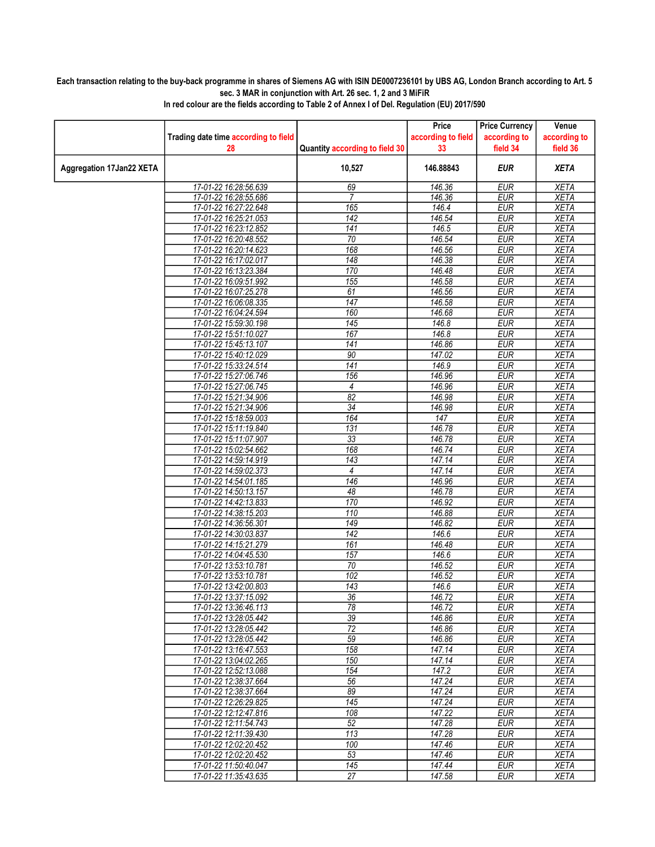## Each transaction relating to the buy-back programme in shares of Siemens AG with ISIN DE0007236101 by UBS AG, London Branch according to Art. 5 sec. 3 MAR in conjunction with Art. 26 sec. 1, 2 and 3 MiFiR

|                          |                                                |                                | Price              | <b>Price Currency</b>    | Venue                      |
|--------------------------|------------------------------------------------|--------------------------------|--------------------|--------------------------|----------------------------|
|                          | Trading date time according to field           |                                | according to field | according to             | according to               |
|                          | 28                                             | Quantity according to field 30 | 33                 | field 34                 | field 36                   |
| Aggregation 17Jan22 XETA |                                                | 10,527                         | 146.88843          | <b>EUR</b>               | <b>XETA</b>                |
|                          | 17-01-22 16:28:56.639                          | 69                             | 146.36             | <b>EUR</b>               | <b>XETA</b>                |
|                          | 17-01-22 16:28:55.686                          | 7                              | 146.36             | <b>EUR</b>               | <b>XETA</b>                |
|                          | 17-01-22 16:27:22.648                          | 165                            | 146.4              | <b>EUR</b>               | <b>XETA</b>                |
|                          | 17-01-22 16:25:21.053                          | 142                            | 146.54             | <b>EUR</b>               | <b>XETA</b>                |
|                          | 17-01-22 16:23:12.852                          | 141                            | 146.5              | <b>EUR</b>               | <b>XETA</b>                |
|                          | 17-01-22 16:20:48.552                          | 70                             | 146.54             | <b>EUR</b>               | <b>XETA</b>                |
|                          | 17-01-22 16:20:14.623                          | 168                            | 146.56             | <b>EUR</b>               | <b>XETA</b>                |
|                          | 17-01-22 16:17:02.017                          | 148                            | 146.38             | <b>EUR</b>               | <b>XETA</b>                |
|                          | 17-01-22 16:13:23.384                          | 170                            | 146.48             | <b>EUR</b>               | <b>XETA</b>                |
|                          | 17-01-22 16:09:51.992                          | 155                            | 146.58             | <b>EUR</b>               | <b>XETA</b>                |
|                          | 17-01-22 16:07:25.278                          | 61                             | 146.56             | <b>EUR</b>               | <b>XETA</b>                |
|                          | 17-01-22 16:06:08.335                          | 147                            | 146.58             | <b>EUR</b>               | <b>XETA</b>                |
|                          | 17-01-22 16:04:24.594                          | 160                            | 146.68             | <b>EUR</b><br><b>EUR</b> | <b>XETA</b>                |
|                          | 17-01-22 15:59:30.198<br>17-01-22 15:51:10.027 | 145<br>167                     | 146.8<br>146.8     | <b>EUR</b>               | <b>XETA</b><br><b>XETA</b> |
|                          | 17-01-22 15:45:13.107                          | 141                            | 146.86             | <b>EUR</b>               | <b>XETA</b>                |
|                          | 17-01-22 15:40:12.029                          | 90                             | 147.02             | <b>EUR</b>               | <b>XETA</b>                |
|                          | 17-01-22 15:33:24.514                          | 141                            | 146.9              | <b>EUR</b>               | <b>XETA</b>                |
|                          | 17-01-22 15:27:06.746                          | 156                            | 146.96             | <b>EUR</b>               | <b>XETA</b>                |
|                          | 17-01-22 15:27:06.745                          | 4                              | 146.96             | <b>EUR</b>               | <b>XETA</b>                |
|                          | 17-01-22 15:21:34.906                          | 82                             | 146.98             | <b>EUR</b>               | <b>XETA</b>                |
|                          | 17-01-22 15:21:34.906                          | $\overline{34}$                | 146.98             | <b>EUR</b>               | <b>XETA</b>                |
|                          | 17-01-22 15:18:59.003                          | 164                            | 147                | <b>EUR</b>               | <b>XETA</b>                |
|                          | 17-01-22 15:11:19.840                          | 131                            | 146.78             | <b>EUR</b>               | <b>XETA</b>                |
|                          | 17-01-22 15:11:07.907                          | 33                             | 146.78             | <b>EUR</b>               | <b>XETA</b>                |
|                          | 17-01-22 15:02:54.662                          | 168                            | 146.74             | <b>EUR</b>               | <b>XETA</b>                |
|                          | 17-01-22 14:59:14.919                          | 143                            | 147.14             | <b>EUR</b>               | <b>XETA</b>                |
|                          | 17-01-22 14:59:02.373                          | 4                              | 147.14             | <b>EUR</b>               | <b>XETA</b>                |
|                          | 17-01-22 14:54:01.185                          | 146                            | 146.96             | <b>EUR</b>               | <b>XETA</b>                |
|                          | 17-01-22 14:50:13.157                          | 48                             | 146.78             | <b>EUR</b>               | <b>XETA</b>                |
|                          | 17-01-22 14:42:13.833                          | 170                            | 146.92             | <b>EUR</b>               | <b>XETA</b>                |
|                          | 17-01-22 14:38:15.203                          | 110                            | 146.88             | <b>EUR</b>               | <b>XETA</b>                |
|                          | 17-01-22 14:36:56.301                          | $\overline{149}$               | 146.82             | <b>EUR</b>               | <b>XETA</b>                |
|                          | 17-01-22 14:30:03.837<br>17-01-22 14:15:21.279 | $\overline{142}$<br>161        | 146.6<br>146.48    | <b>EUR</b><br><b>EUR</b> | <b>XETA</b><br><b>XETA</b> |
|                          | 17-01-22 14:04:45.530                          | 157                            | 146.6              | <b>EUR</b>               | <b>XETA</b>                |
|                          | 17-01-22 13:53:10.781                          | 70                             | 146.52             | <b>EUR</b>               | <b>XETA</b>                |
|                          | 17-01-22 13:53:10.781                          | 102                            | 146.52             | <b>EUR</b>               | <b>XETA</b>                |
|                          | 17-01-22 13:42:00.803                          | 143                            | 146.6              | <b>EUR</b>               | <b>XETA</b>                |
|                          | 17-01-22 13:37:15.092                          | 36                             | 146.72             | <b>EUR</b>               | <b>XETA</b>                |
|                          | 17-01-22 13:36:46.113                          | 78                             | 146.72             | EUR                      | XETA                       |
|                          | 17-01-22 13:28:05.442                          | 39                             | 146.86             | <b>EUR</b>               | <b>XETA</b>                |
|                          | 17-01-22 13:28:05.442                          | $\overline{72}$                | 146.86             | <b>EUR</b>               | <b>XETA</b>                |
|                          | 17-01-22 13:28:05.442                          | 59                             | 146.86             | <b>EUR</b>               | <b>XETA</b>                |
|                          | 17-01-22 13:16:47.553                          | 158                            | 147.14             | <b>EUR</b>               | <b>XETA</b>                |
|                          | 17-01-22 13:04:02.265                          | 150                            | 147.14             | <b>EUR</b>               | XETA                       |
|                          | 17-01-22 12:52:13.088                          | 154                            | 147.2              | <b>EUR</b>               | <b>XETA</b>                |
|                          | 17-01-22 12:38:37.664                          | 56                             | 147.24             | <b>EUR</b>               | <b>XETA</b>                |
|                          | 17-01-22 12:38:37.664                          | 89                             | 147.24             | <b>EUR</b>               | <b>XETA</b>                |
|                          | 17-01-22 12:26:29.825                          | 145                            | 147.24             | <b>EUR</b>               | <b>XETA</b>                |
|                          | 17-01-22 12:12:47.816<br>17-01-22 12:11:54.743 | 108<br>52                      | 147.22<br>147.28   | <b>EUR</b><br><b>EUR</b> | <b>XETA</b>                |
|                          | 17-01-22 12:11:39.430                          | 113                            | 147.28             | <b>EUR</b>               | <b>XETA</b><br><b>XETA</b> |
|                          | 17-01-22 12:02:20.452                          | 100                            | 147.46             | <b>EUR</b>               | <b>XETA</b>                |
|                          | 17-01-22 12:02:20.452                          | 53                             | 147.46             | <b>EUR</b>               | <b>XETA</b>                |
|                          | 17-01-22 11:50:40.047                          | 145                            | 147.44             | <b>EUR</b>               | <b>XETA</b>                |
|                          | 17-01-22 11:35:43.635                          | 27                             | 147.58             | EUR                      | <b>XETA</b>                |
|                          |                                                |                                |                    |                          |                            |

In red colour are the fields according to Table 2 of Annex I of Del. Regulation (EU) 2017/590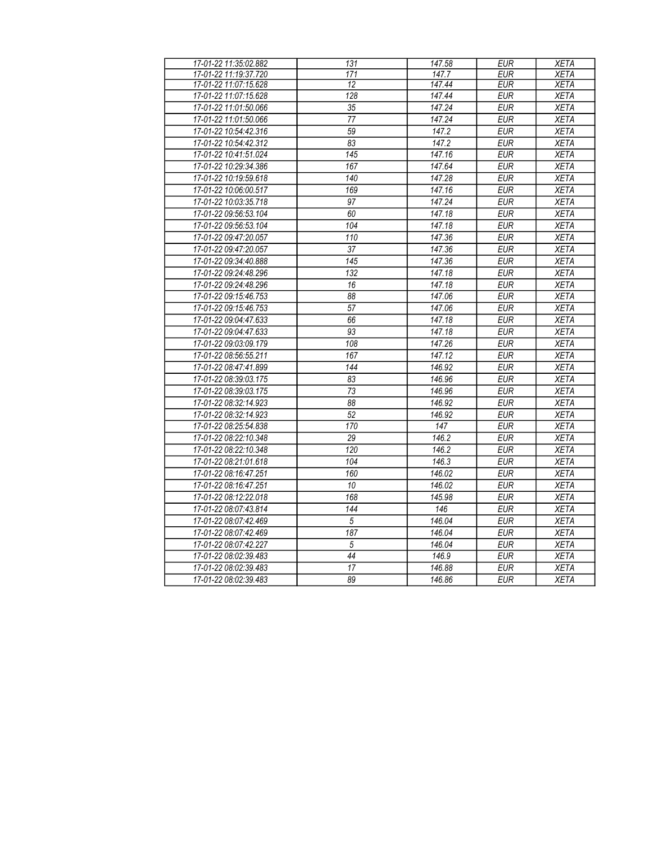| 17-01-22 11:35:02.882 | 131              | 147.58 | <b>EUR</b> | <b>XETA</b> |
|-----------------------|------------------|--------|------------|-------------|
| 17-01-22 11:19:37.720 | 171              | 147.7  | <b>EUR</b> | <b>XETA</b> |
| 17-01-22 11:07:15.628 | 12               | 147.44 | <b>EUR</b> | <b>XETA</b> |
| 17-01-22 11:07:15.628 | 128              | 147.44 | <b>EUR</b> | <b>XETA</b> |
| 17-01-22 11:01:50.066 | $\overline{35}$  | 147.24 | <b>EUR</b> | <b>XETA</b> |
| 17-01-22 11:01:50.066 | $\overline{77}$  | 147.24 | <b>EUR</b> | <b>XETA</b> |
| 17-01-22 10:54:42.316 | 59               | 147.2  | <b>EUR</b> | <b>XETA</b> |
| 17-01-22 10:54:42.312 | 83               | 147.2  | <b>EUR</b> | <b>XETA</b> |
| 17-01-22 10:41:51.024 | $\overline{145}$ | 147.16 | EUR        | <b>XETA</b> |
| 17-01-22 10:29:34.386 | 167              | 147.64 | <b>EUR</b> | <b>XETA</b> |
| 17-01-22 10:19:59.618 | 140              | 147.28 | <b>EUR</b> | <b>XETA</b> |
| 17-01-22 10:06:00.517 | 169              | 147.16 | <b>EUR</b> | <b>XETA</b> |
| 17-01-22 10:03:35.718 | 97               | 147.24 | <b>EUR</b> | <b>XETA</b> |
| 17-01-22 09:56:53.104 | 60               | 147.18 | <b>EUR</b> | <b>XETA</b> |
| 17-01-22 09:56:53.104 | 104              | 147.18 | <b>EUR</b> | <b>XETA</b> |
| 17-01-22 09:47:20.057 | 110              | 147.36 | <b>EUR</b> | <b>XETA</b> |
| 17-01-22 09:47:20.057 | 37               | 147.36 | <b>EUR</b> | <b>XETA</b> |
| 17-01-22 09:34:40.888 | $\overline{145}$ | 147.36 | <b>EUR</b> | <b>XETA</b> |
| 17-01-22 09:24:48.296 | 132              | 147.18 | <b>EUR</b> | <b>XETA</b> |
| 17-01-22 09:24:48.296 | 16               | 147.18 | <b>EUR</b> | <b>XETA</b> |
| 17-01-22 09:15:46.753 | 88               | 147.06 | EUR        | <b>XETA</b> |
| 17-01-22 09:15:46.753 | $\overline{57}$  | 147.06 | <b>EUR</b> | <b>XETA</b> |
| 17-01-22 09:04:47.633 | 66               | 147.18 | <b>EUR</b> | <b>XETA</b> |
| 17-01-22 09:04:47.633 | 93               | 147.18 | <b>EUR</b> | <b>XETA</b> |
| 17-01-22 09:03:09.179 | 108              | 147.26 | <b>EUR</b> | <b>XETA</b> |
| 17-01-22 08:56:55.211 | 167              | 147.12 | <b>EUR</b> | <b>XETA</b> |
| 17-01-22 08:47:41.899 | 144              | 146.92 | <b>EUR</b> | <b>XETA</b> |
| 17-01-22 08:39:03.175 | $\overline{83}$  | 146.96 | EUR        | <b>XETA</b> |
| 17-01-22 08:39:03.175 | 73               | 146.96 | <b>EUR</b> | <b>XETA</b> |
| 17-01-22 08:32:14.923 | $\overline{88}$  | 146.92 | <b>EUR</b> | <b>XETA</b> |
| 17-01-22 08:32:14.923 | 52               | 146.92 | <b>EUR</b> | <b>XETA</b> |
| 17-01-22 08:25:54.838 | 170              | 147    | <b>EUR</b> | <b>XETA</b> |
| 17-01-22 08:22:10.348 | $\overline{29}$  | 146.2  | <b>EUR</b> | <b>XETA</b> |
| 17-01-22 08:22:10.348 | $\overline{120}$ | 146.2  | <b>EUR</b> | <b>XETA</b> |
| 17-01-22 08:21:01.618 | 104              | 146.3  | <b>EUR</b> | <b>XETA</b> |
| 17-01-22 08:16:47.251 | 160              | 146.02 | <b>EUR</b> | <b>XETA</b> |
| 17-01-22 08:16:47.251 | 10               | 146.02 | <b>EUR</b> | <b>XETA</b> |
| 17-01-22 08:12:22.018 | 168              | 145.98 | <b>EUR</b> | <b>XETA</b> |
| 17-01-22 08:07:43.814 | $\overline{144}$ | 146    | <b>EUR</b> | <b>XETA</b> |
| 17-01-22 08:07:42.469 | $\sqrt{5}$       | 146.04 | <b>EUR</b> | <b>XETA</b> |
| 17-01-22 08:07:42.469 | 187              | 146.04 | EUR        | <b>XETA</b> |
| 17-01-22 08:07:42.227 | $\sqrt{5}$       | 146.04 | <b>EUR</b> | <b>XETA</b> |
| 17-01-22 08:02:39.483 | $\overline{44}$  | 146.9  | <b>EUR</b> | <b>XETA</b> |
| 17-01-22 08:02:39.483 | $\overline{17}$  | 146.88 | <b>EUR</b> | <b>XETA</b> |
| 17-01-22 08:02:39.483 | 89               | 146.86 | <b>EUR</b> | <b>XETA</b> |
|                       |                  |        |            |             |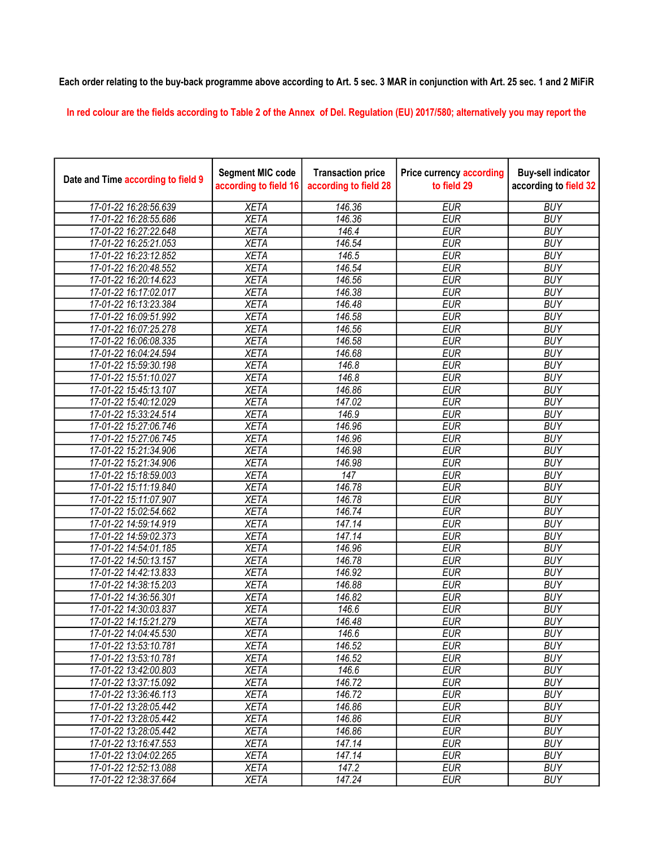## Each order relating to the buy-back programme above according to Art. 5 sec. 3 MAR in conjunction with Art. 25 sec. 1 and 2 MiFiR

In red colour are the fields according to Table 2 of the Annex of Del. Regulation (EU) 2017/580; alternatively you may report the

| Date and Time according to field 9 | <b>Segment MIC code</b><br>according to field 16 | <b>Transaction price</b><br>according to field 28 | <b>Price currency according</b><br>to field 29 | <b>Buy-sell indicator</b><br>according to field 32 |
|------------------------------------|--------------------------------------------------|---------------------------------------------------|------------------------------------------------|----------------------------------------------------|
| 17-01-22 16:28:56.639              | <b>XETA</b>                                      | 146.36                                            | <b>EUR</b>                                     | <b>BUY</b>                                         |
| 17-01-22 16:28:55.686              | <b>XETA</b>                                      | 146.36                                            | <b>EUR</b>                                     | <b>BUY</b>                                         |
| 17-01-22 16:27:22.648              | <b>XETA</b>                                      | 146.4                                             | <b>EUR</b>                                     | <b>BUY</b>                                         |
| 17-01-22 16:25:21.053              | <b>XETA</b>                                      | 146.54                                            | <b>EUR</b>                                     | <b>BUY</b>                                         |
| 17-01-22 16:23:12.852              | <b>XETA</b>                                      | 146.5                                             | <b>EUR</b>                                     | <b>BUY</b>                                         |
| 17-01-22 16:20:48.552              | <b>XETA</b>                                      | 146.54                                            | <b>EUR</b>                                     | <b>BUY</b>                                         |
| 17-01-22 16:20:14.623              | <b>XETA</b>                                      | 146.56                                            | <b>EUR</b>                                     | <b>BUY</b>                                         |
| 17-01-22 16:17:02.017              | <b>XETA</b>                                      | 146.38                                            | <b>EUR</b>                                     | <b>BUY</b>                                         |
| 17-01-22 16:13:23.384              | <b>XETA</b>                                      | 146.48                                            | <b>EUR</b>                                     | <b>BUY</b>                                         |
| 17-01-22 16:09:51.992              | <b>XETA</b>                                      | 146.58                                            | <b>EUR</b>                                     | <b>BUY</b>                                         |
| 17-01-22 16:07:25.278              | <b>XETA</b>                                      | 146.56                                            | <b>EUR</b>                                     | <b>BUY</b>                                         |
| 17-01-22 16:06:08.335              | <b>XETA</b>                                      | 146.58                                            | <b>EUR</b>                                     | <b>BUY</b>                                         |
| 17-01-22 16:04:24.594              | <b>XETA</b>                                      | 146.68                                            | <b>EUR</b>                                     | <b>BUY</b>                                         |
| 17-01-22 15:59:30.198              | <b>XETA</b>                                      | 146.8                                             | <b>EUR</b>                                     | <b>BUY</b>                                         |
| 17-01-22 15:51:10.027              | <b>XETA</b>                                      | 146.8                                             | <b>EUR</b>                                     | <b>BUY</b>                                         |
| 17-01-22 15:45:13.107              | <b>XETA</b>                                      | 146.86                                            | <b>EUR</b>                                     | <b>BUY</b>                                         |
| 17-01-22 15:40:12.029              | <b>XETA</b>                                      | 147.02                                            | <b>EUR</b>                                     | <b>BUY</b>                                         |
| 17-01-22 15:33:24.514              | <b>XETA</b>                                      | 146.9                                             | EUR                                            | <b>BUY</b>                                         |
| 17-01-22 15:27:06.746              | <b>XETA</b>                                      | 146.96                                            | <b>EUR</b>                                     | <b>BUY</b>                                         |
| 17-01-22 15:27:06.745              | <b>XETA</b>                                      | 146.96                                            | <b>EUR</b>                                     | <b>BUY</b>                                         |
| 17-01-22 15:21:34.906              | <b>XETA</b>                                      | 146.98                                            | <b>EUR</b>                                     | <b>BUY</b>                                         |
| 17-01-22 15:21:34.906              | <b>XETA</b>                                      | 146.98                                            | <b>EUR</b>                                     | <b>BUY</b>                                         |
| 17-01-22 15:18:59.003              | <b>XETA</b>                                      | $\overline{147}$                                  | <b>EUR</b>                                     | <b>BUY</b>                                         |
| 17-01-22 15:11:19.840              | <b>XETA</b>                                      | 146.78                                            | <b>EUR</b>                                     | <b>BUY</b>                                         |
| 17-01-22 15:11:07.907              | <b>XETA</b>                                      | 146.78                                            | <b>EUR</b>                                     | <b>BUY</b>                                         |
| 17-01-22 15:02:54.662              | <b>XETA</b>                                      | 146.74                                            | <b>EUR</b>                                     | <b>BUY</b>                                         |
| 17-01-22 14:59:14.919              | <b>XETA</b>                                      | 147.14                                            | <b>EUR</b>                                     | <b>BUY</b>                                         |
| 17-01-22 14:59:02.373              | <b>XETA</b>                                      | 147.14                                            | <b>EUR</b>                                     | <b>BUY</b>                                         |
| 17-01-22 14:54:01.185              | <b>XETA</b>                                      | 146.96                                            | <b>EUR</b>                                     | <b>BUY</b>                                         |
| 17-01-22 14:50:13.157              | <b>XETA</b>                                      | 146.78                                            | <b>EUR</b>                                     | <b>BUY</b>                                         |
| 17-01-22 14:42:13.833              | <b>XETA</b>                                      | 146.92                                            | <b>EUR</b>                                     | <b>BUY</b>                                         |
| 17-01-22 14:38:15.203              | <b>XETA</b>                                      | 146.88                                            | <b>EUR</b>                                     | <b>BUY</b>                                         |
| 17-01-22 14:36:56.301              | <b>XETA</b>                                      | 146.82                                            | <b>EUR</b>                                     | <b>BUY</b>                                         |
| 17-01-22 14:30:03.837              | <b>XETA</b>                                      | 146.6                                             | <b>EUR</b>                                     | <b>BUY</b>                                         |
| 17-01-22 14:15:21.279              | <b>XETA</b>                                      | 146.48                                            | <b>EUR</b>                                     | <b>BUY</b>                                         |
| 17-01-22 14:04:45.530              | <b>XETA</b>                                      | 146.6                                             | <b>EUR</b>                                     | <b>BUY</b>                                         |
| 17-01-22 13:53:10.781              | <b>XETA</b>                                      | 146.52                                            | <b>EUR</b>                                     | <b>BUY</b>                                         |
| 17-01-22 13:53:10.781              | <b>XETA</b>                                      | 146.52                                            | <b>EUR</b>                                     | <b>BUY</b>                                         |
| 17-01-22 13:42:00.803              | <b>XETA</b>                                      | 146.6                                             | <b>EUR</b>                                     | <b>BUY</b>                                         |
| 17-01-22 13:37:15.092              | <b>XETA</b>                                      | 146.72                                            | <b>EUR</b>                                     | <b>BUY</b>                                         |
| 17-01-22 13:36:46.113              | <b>XETA</b>                                      | 146.72                                            | <b>EUR</b>                                     | <b>BUY</b>                                         |
| 17-01-22 13:28:05.442              | <b>XETA</b>                                      | 146.86                                            | <b>EUR</b>                                     | <b>BUY</b>                                         |
| 17-01-22 13:28:05.442              | <b>XETA</b>                                      | 146.86                                            | <b>EUR</b>                                     | <b>BUY</b>                                         |
| 17-01-22 13:28:05.442              | <b>XETA</b>                                      | 146.86                                            | <b>EUR</b>                                     | <b>BUY</b>                                         |
| 17-01-22 13:16:47.553              | <b>XETA</b>                                      | 147.14                                            | <b>EUR</b>                                     | <b>BUY</b>                                         |
| 17-01-22 13:04:02.265              | <b>XETA</b>                                      | 147.14                                            | EUR                                            | <b>BUY</b>                                         |
| 17-01-22 12:52:13.088              | <b>XETA</b>                                      | 147.2                                             | <b>EUR</b>                                     | <b>BUY</b>                                         |
| 17-01-22 12:38:37.664              | <b>XETA</b>                                      | 147.24                                            | <b>EUR</b>                                     | <b>BUY</b>                                         |